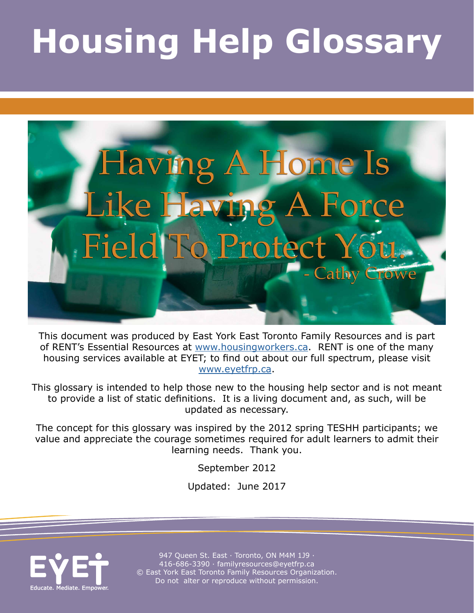

This document was produced by East York East Toronto Family Resources and is part of RENT's Essential Resources at [www.housingworkers.ca](http://www.housingworkers.ca/). RENT is one of the many housing services available at EYET; to find out about our full spectrum, please visit [www.eyetfrp.ca.](http://www.eyetfrp.ca)

This glossary is intended to help those new to the housing help sector and is not meant to provide a list of static definitions. It is a living document and, as such, will be updated as necessary.

The concept for this glossary was inspired by the 2012 spring TESHH participants; we value and appreciate the courage sometimes required for adult learners to admit their learning needs. Thank you.

September 2012

Updated: June 2017



947 Queen St. East · Toronto, ON M4M 1J9 · 416-686-3390 · familyresources@eyetfrp.ca © East York East Toronto Family Resources Organization. Do not alter or reproduce without permission.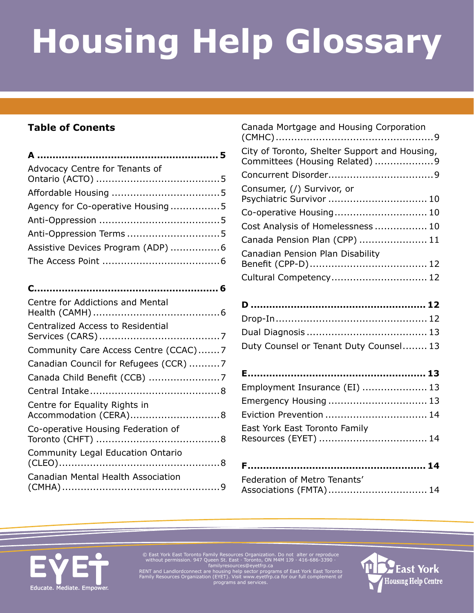### **Table of Conents**

| Advocacy Centre for Tenants of    |  |
|-----------------------------------|--|
|                                   |  |
| Agency for Co-operative Housing5  |  |
|                                   |  |
|                                   |  |
| Assistive Devices Program (ADP) 6 |  |
|                                   |  |

| Centre for Addictions and Mental                       |
|--------------------------------------------------------|
| <b>Centralized Access to Residential</b>               |
| Community Care Access Centre (CCAC)7                   |
| Canadian Council for Refugees (CCR) 7                  |
|                                                        |
|                                                        |
| Centre for Equality Rights in<br>Accommodation (CERA)8 |
| Co-operative Housing Federation of                     |
| <b>Community Legal Education Ontario</b>               |
| <b>Canadian Mental Health Association</b>              |
|                                                        |

| Canada Mortgage and Housing Corporation                                         |
|---------------------------------------------------------------------------------|
| City of Toronto, Shelter Support and Housing,<br>Committees (Housing Related) 9 |
|                                                                                 |
| Consumer, (/) Survivor, or<br>Psychiatric Survivor  10                          |
| Co-operative Housing 10                                                         |
| Cost Analysis of Homelessness 10                                                |
| Canada Pension Plan (CPP)  11                                                   |
| Canadian Pension Plan Disability                                                |
| Cultural Competency 12                                                          |

| Duty Counsel or Tenant Duty Counsel 13 |  |
|----------------------------------------|--|

| Employment Insurance (EI)  13 |  |
|-------------------------------|--|
|                               |  |
| Eviction Prevention  14       |  |
| East York East Toronto Family |  |

| Federation of Metro Tenants' |  |
|------------------------------|--|
| Associations (FMTA) 14       |  |



© East York East Toronto Family Resources Organization. Do not alter or reproduce<br>without permission. 947 Queen St. East · Toronto, ON M4M 1J9 · 416-686-3390 ·<br>RENT and Landlordconnect are housing help sector programs of

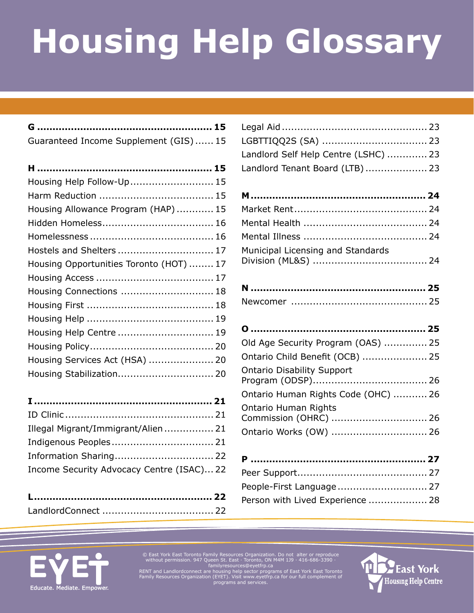| Guaranteed Income Supplement (GIS) 15 |  |
|---------------------------------------|--|

| Housing Help Follow-Up 15               |  |
|-----------------------------------------|--|
|                                         |  |
| Housing Allowance Program (HAP) 15      |  |
|                                         |  |
|                                         |  |
| Hostels and Shelters  17                |  |
| Housing Opportunities Toronto (HOT)  17 |  |
|                                         |  |
| Housing Connections  18                 |  |
|                                         |  |
|                                         |  |
| Housing Help Centre  19                 |  |
|                                         |  |
| Housing Services Act (HSA)  20          |  |
|                                         |  |

| Illegal Migrant/Immigrant/Alien 21        |  |
|-------------------------------------------|--|
|                                           |  |
|                                           |  |
| Income Security Advocacy Centre (ISAC) 22 |  |
|                                           |  |

| Landlord Self Help Centre (LSHC)  23 |  |
|--------------------------------------|--|
| Landlord Tenant Board (LTB) 23       |  |
|                                      |  |

| Municipal Licensing and Standards |  |
|-----------------------------------|--|

### **O [.........................................................](#page-24-0) 25**

| Old Age Security Program (OAS)  25  |  |
|-------------------------------------|--|
| Ontario Child Benefit (OCB)  25     |  |
| <b>Ontario Disability Support</b>   |  |
| Ontario Human Rights Code (OHC)  26 |  |
| <b>Ontario Human Rights</b>         |  |
| Ontario Works (OW)  26              |  |
|                                     |  |

| People-First Language  27        |  |
|----------------------------------|--|
| Person with Lived Experience  28 |  |
|                                  |  |



© East York East Toronto Family Resources Organization. Do not alter or reproduce<br>without permission. 947 Queen St. East · Toronto, ON M4M 1J9 · 416-686-3390 ·<br>RENT and Landlordconnect are housing help sector programs of

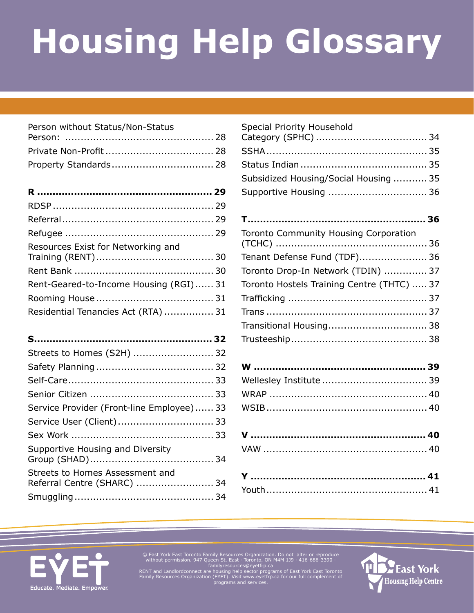| Person without Status/Non-Status |  |
|----------------------------------|--|
|                                  |  |
|                                  |  |

| Resources Exist for Networking and     |  |
|----------------------------------------|--|
|                                        |  |
| Rent-Geared-to-Income Housing (RGI) 31 |  |
|                                        |  |
| Residential Tenancies Act (RTA)  31    |  |

| Service Provider (Front-line Employee) 33                      |  |
|----------------------------------------------------------------|--|
| Service User (Client) 33                                       |  |
|                                                                |  |
| Supportive Housing and Diversity                               |  |
| Streets to Homes Assessment and<br>Referral Centre (SHARC)  34 |  |
|                                                                |  |

| <b>Special Priority Household</b>     |  |
|---------------------------------------|--|
|                                       |  |
|                                       |  |
|                                       |  |
| Subsidized Housing/Social Housing  35 |  |
| Supportive Housing  36                |  |

| <b>Toronto Community Housing Corporation</b> |  |
|----------------------------------------------|--|
| Tenant Defense Fund (TDF) 36                 |  |
| Toronto Drop-In Network (TDIN)  37           |  |
| Toronto Hostels Training Centre (THTC)  37   |  |
|                                              |  |
|                                              |  |
|                                              |  |
|                                              |  |



© East York East Toronto Family Resources Organization. Do not alter or reproduce<br>without permission. 947 Queen St. East · Toronto, ON M4M 1J9 · 416-686-3390 ·<br>RENT and Landlordconnect are housing help sector programs of

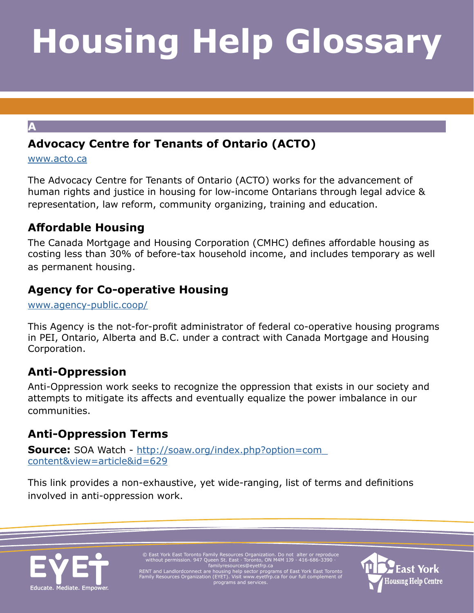### <span id="page-4-0"></span>**A**

# **Advocacy Centre for Tenants of Ontario (ACTO)**

#### [www.acto.ca](http://www.acto.ca)

The Advocacy Centre for Tenants of Ontario (ACTO) works for the advancement of human rights and justice in housing for low-income Ontarians through legal advice & representation, law reform, community organizing, training and education.

## **Affordable Housing**

The Canada Mortgage and Housing Corporation (CMHC) defines affordable housing as costing less than 30% of before-tax household income, and includes temporary as well as permanent housing.

## **Agency for Co-operative Housing**

[www.agency-public.coop/](http://www.agency-public.coop/)

This Agency is the not-for-profit administrator of federal co-operative housing programs in PEI, Ontario, Alberta and B.C. under a contract with Canada Mortgage and Housing Corporation.

## **Anti-Oppression**

Anti-Oppression work seeks to recognize the oppression that exists in our society and attempts to mitigate its affects and eventually equalize the power imbalance in our communities.

## **Anti-Oppression Terms**

**Source:** SOA Watch - http://soaw.org/index.php?option=com [content&view=article&id=629](http://soaw.org/index.php?option=com_content&view=article&id=629)

This link provides a non-exhaustive, yet wide-ranging, list of terms and definitions involved in anti-oppression work.



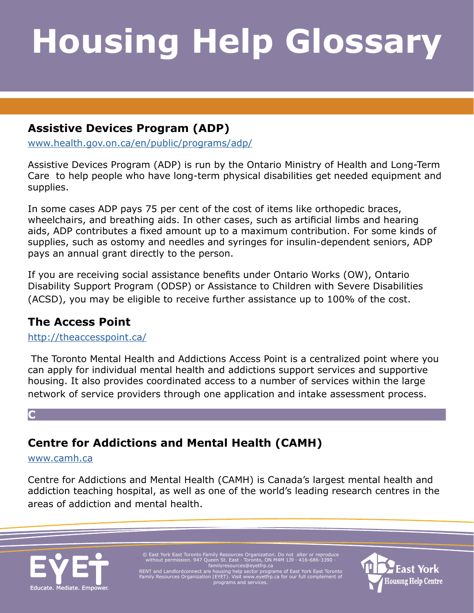## <span id="page-5-0"></span>**Assistive Devices Program (ADP)**

[www.health.gov.on.ca/en/public/programs/adp/](http://www.health.gov.on.ca/en/public/programs/adp/)

Assistive Devices Program (ADP) is run by the Ontario Ministry of Health and Long-Term Care to help people who have long-term physical disabilities get needed equipment and supplies.

In some cases ADP pays 75 per cent of the cost of items like orthopedic braces, wheelchairs, and breathing aids. In other cases, such as artificial limbs and hearing aids, ADP contributes a fixed amount up to a maximum contribution. For some kinds of supplies, such as ostomy and needles and syringes for insulin-dependent seniors, ADP pays an annual grant directly to the person.

If you are receiving social assistance benefits under Ontario Works (OW), Ontario Disability Support Program (ODSP) or Assistance to Children with Severe Disabilities (ACSD), you may be eligible to receive further assistance up to 100% of the cost.

## **The Access Point**

#### <http://theaccesspoint.ca/>

 The Toronto Mental Health and Addictions Access Point is a centralized point where you can apply for individual mental health and addictions support services and supportive housing. It also provides coordinated access to a number of services within the large network of service providers through one application and intake assessment process.

#### **C**

## **Centre for Addictions and Mental Health (CAMH)**

#### [www.camh.ca](http://www.camh.ca)

Centre for Addictions and Mental Health (CAMH) is Canada's largest mental health and addiction teaching hospital, as well as one of the world's leading research centres in the areas of addiction and mental health.



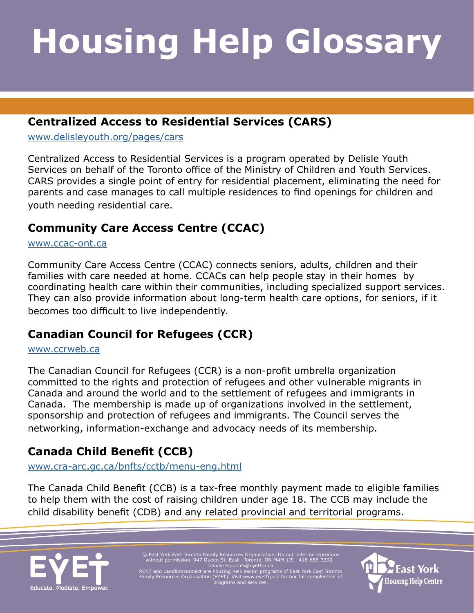## <span id="page-6-0"></span>**Centralized Access to Residential Services (CARS)**

#### [www.delisleyouth.org/pages/cars](http://www.delisleyouth.org/pages/cars)

Centralized Access to Residential Services is a program operated by Delisle Youth Services on behalf of the Toronto office of the Ministry of Children and Youth Services. CARS provides a single point of entry for residential placement, eliminating the need for parents and case manages to call multiple residences to find openings for children and youth needing residential care.

## **Community Care Access Centre (CCAC)**

#### [www.ccac-ont.ca](http://www.ccac-ont.ca)

Community Care Access Centre (CCAC) connects seniors, adults, children and their families with care needed at home. CCACs can help people stay in their homes by coordinating health care within their communities, including specialized support services. They can also provide information about long-term health care options, for seniors, if it becomes too difficult to live independently.

## **Canadian Council for Refugees (CCR)**

#### [www.ccrweb.ca](http://www.ccrweb.ca)

The Canadian Council for Refugees (CCR) is a non-profit umbrella organization committed to the rights and protection of refugees and other vulnerable migrants in Canada and around the world and to the settlement of refugees and immigrants in Canada. The membership is made up of organizations involved in the settlement, sponsorship and protection of refugees and immigrants. The Council serves the networking, information-exchange and advocacy needs of its membership.

## **Canada Child Benefit (CCB)**

#### [www.cra-arc.gc.ca/bnfts/cctb/menu-eng.html](http://www.cra-arc.gc.ca/bnfts/cctb/menu-eng.html)

The Canada Child Benefit (CCB) is a tax-free monthly payment made to eligible families to help them with the cost of raising children under age 18. The CCB may include the child disability benefit (CDB) and any related provincial and territorial programs.



© East York East Toronto Family Resources Organization. Do not alter or reproduce without permission. 947 Permission.<br>M4M 1J9 · 416-686-3390 familyresources@eyetfrp.ca RENT and Landlordconnect are housing help sector programs of East York East Toronto Family Resources Organization (EYET). Visit www.eyetfrp.ca for our full complement of programs and services.

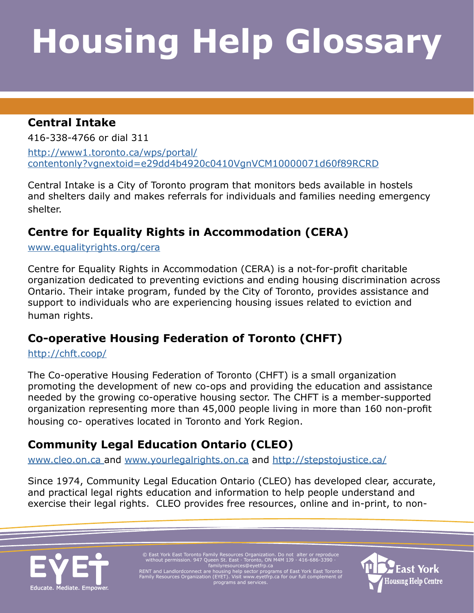## <span id="page-7-0"></span>**Central Intake**

416-338-4766 or dial 311

[http://www1.toronto.ca/wps/portal/](http://www1.toronto.ca/wps/portal/contentonly?vgnextoid=e29dd4b4920c0410VgnVCM10000071d60f89RCRD) [contentonly?vgnextoid=e29dd4b4920c0410VgnVCM10000071d60f89RCRD](http://www1.toronto.ca/wps/portal/contentonly?vgnextoid=e29dd4b4920c0410VgnVCM10000071d60f89RCRD)

Central Intake is a City of Toronto program that monitors beds available in hostels and shelters daily and makes referrals for individuals and families needing emergency shelter.

## **Centre for Equality Rights in Accommodation (CERA)**

[www.equalityrights.org/cera](http://www.equalityrights.org/cera)

Centre for Equality Rights in Accommodation (CERA) is a not-for-profit charitable organization dedicated to preventing evictions and ending housing discrimination across Ontario. Their intake program, funded by the City of Toronto, provides assistance and support to individuals who are experiencing housing issues related to eviction and human rights.

## **Co-operative Housing Federation of Toronto (CHFT)**

<http://chft.coop/>

The Co-operative Housing Federation of Toronto (CHFT) is a small organization promoting the development of new co-ops and providing the education and assistance needed by the growing co-operative housing sector. The CHFT is a member-supported organization representing more than 45,000 people living in more than 160 non-profit housing co- operatives located in Toronto and York Region.

## **Community Legal Education Ontario (CLEO)**

[www.cleo.on.ca a](http://www.cleo.on.ca )nd [www.yourlegalrights.on.ca](http://www.yourlegalrights.on.ca) and <http://stepstojustice.ca/>

Since 1974, Community Legal Education Ontario (CLEO) has developed clear, accurate, and practical legal rights education and information to help people understand and exercise their legal rights. CLEO provides free resources, online and in-print, to non-



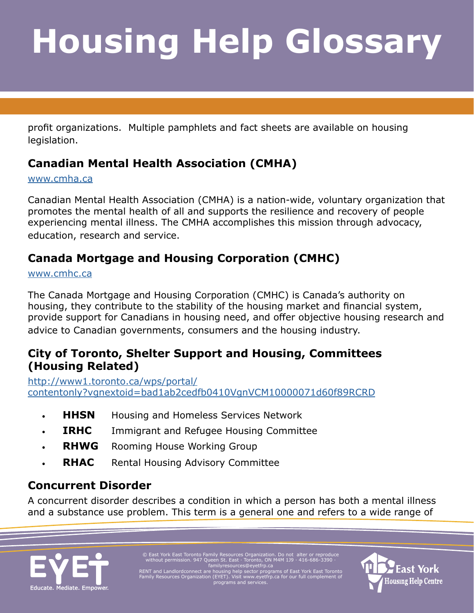<span id="page-8-0"></span>profit organizations. Multiple pamphlets and fact sheets are available on housing legislation.

# **Canadian Mental Health Association (CMHA)**

#### [www.cmha.ca](http://www.cmha.ca)

Canadian Mental Health Association (CMHA) is a nation-wide, voluntary organization that promotes the mental health of all and supports the resilience and recovery of people experiencing mental illness. The CMHA accomplishes this mission through advocacy, education, research and service.

## **Canada Mortgage and Housing Corporation (CMHC)**

[www.cmhc.ca](http://www.cmhc.ca)

The Canada Mortgage and Housing Corporation (CMHC) is Canada's authority on housing, they contribute to the stability of the housing market and financial system, provide support for Canadians in housing need, and offer objective housing research and advice to Canadian governments, consumers and the housing industry.

## **City of Toronto, Shelter Support and Housing, Committees (Housing Related)**

[http://www1.toronto.ca/wps/portal/](http://www1.toronto.ca/wps/portal/contentonly?vgnextoid=bad1ab2cedfb0410VgnVCM10000071d60f89RCRD) [contentonly?vgnextoid=bad1ab2cedfb0410VgnVCM10000071d60f89RCRD](http://www1.toronto.ca/wps/portal/contentonly?vgnextoid=bad1ab2cedfb0410VgnVCM10000071d60f89RCRD)

- **HHSN** Housing and Homeless Services Network
- **IRHC** Immigrant and Refugee Housing Committee
- **RHWG** Rooming House Working Group
- **RHAC** Rental Housing Advisory Committee

# **Concurrent Disorder**

A concurrent disorder describes a condition in which a person has both a mental illness and a substance use problem. This term is a general one and refers to a wide range of



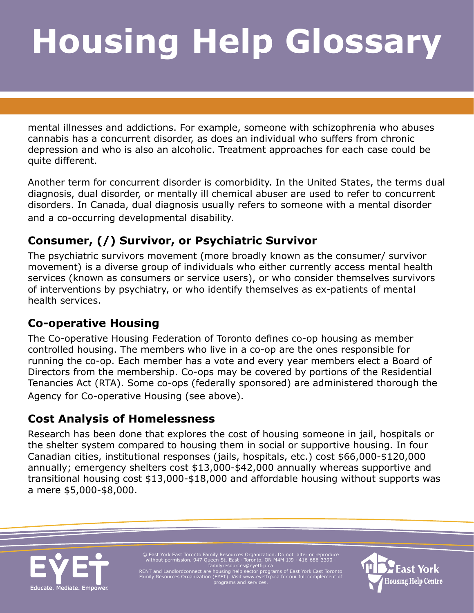<span id="page-9-0"></span>mental illnesses and addictions. For example, someone with schizophrenia who abuses cannabis has a concurrent disorder, as does an individual who suffers from chronic depression and who is also an alcoholic. Treatment approaches for each case could be quite different.

Another term for concurrent disorder is comorbidity. In the United States, the terms dual diagnosis, dual disorder, or mentally ill chemical abuser are used to refer to concurrent disorders. In Canada, dual diagnosis usually refers to someone with a mental disorder and a co-occurring developmental disability.

## **Consumer, (/) Survivor, or Psychiatric Survivor**

The psychiatric survivors movement (more broadly known as the consumer/ survivor movement) is a diverse group of individuals who either currently access mental health services (known as consumers or service users), or who consider themselves survivors of interventions by psychiatry, or who identify themselves as ex-patients of mental health services.

## **Co-operative Housing**

The Co-operative Housing Federation of Toronto defines co-op housing as member controlled housing. The members who live in a co-op are the ones responsible for running the co-op. Each member has a vote and every year members elect a Board of Directors from the membership. Co-ops may be covered by portions of the Residential Tenancies Act (RTA). Some co-ops (federally sponsored) are administered thorough the Agency for Co-operative Housing (see above).

## **Cost Analysis of Homelessness**

Research has been done that explores the cost of housing someone in jail, hospitals or the shelter system compared to housing them in social or supportive housing. In four Canadian cities, institutional responses (jails, hospitals, etc.) cost \$66,000-\$120,000 annually; emergency shelters cost \$13,000-\$42,000 annually whereas supportive and transitional housing cost \$13,000-\$18,000 and affordable housing without supports was a mere \$5,000-\$8,000.



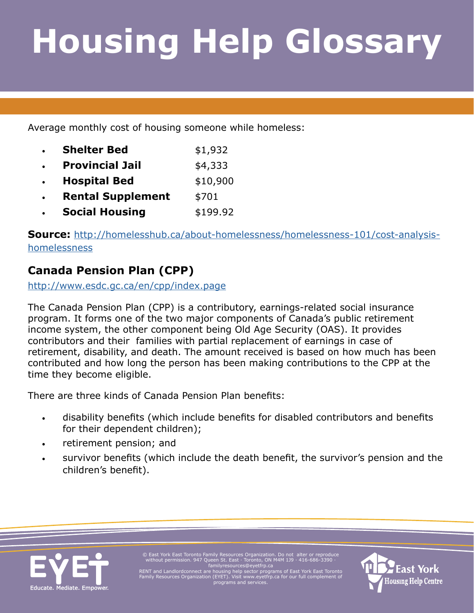<span id="page-10-0"></span>Average monthly cost of housing someone while homeless:

| $\bullet$ | <b>Shelter Bed</b>       | \$1,932  |
|-----------|--------------------------|----------|
| $\bullet$ | <b>Provincial Jail</b>   | \$4,333  |
| $\bullet$ | <b>Hospital Bed</b>      | \$10,900 |
| $\bullet$ | <b>Rental Supplement</b> | \$701    |
|           | <b>Social Housing</b>    | \$199.92 |

**Source:** [http://homelesshub.ca/about-homelessness/homelessness-101/cost-analysis](http://homelesshub.ca/about-homelessness/homelessness-101/cost-analysis-homelessness)[homelessness](http://homelesshub.ca/about-homelessness/homelessness-101/cost-analysis-homelessness)

# **Canada Pension Plan (CPP)**

<http://www.esdc.gc.ca/en/cpp/index.page>

The Canada Pension Plan (CPP) is a contributory, earnings-related social insurance program. It forms one of the two major components of Canada's public retirement income system, the other component being Old Age Security (OAS). It provides contributors and their families with partial replacement of earnings in case of retirement, disability, and death. The amount received is based on how much has been contributed and how long the person has been making contributions to the CPP at the time they become eligible.

There are three kinds of Canada Pension Plan benefits:

- disability benefits (which include benefits for disabled contributors and benefits for their dependent children);
- retirement pension; and
- survivor benefits (which include the death benefit, the survivor's pension and the children's benefit).



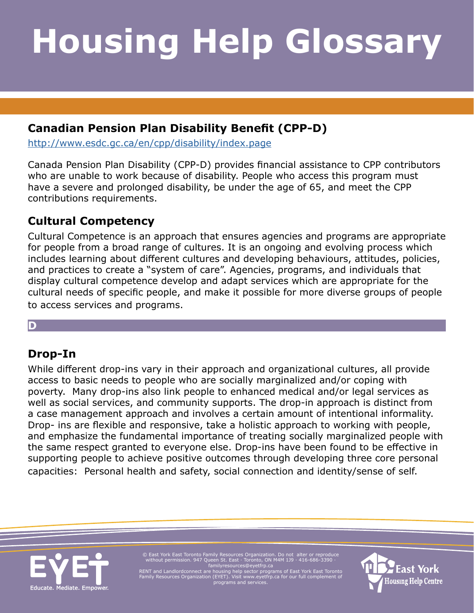## <span id="page-11-0"></span>**Canadian Pension Plan Disability Benefit (CPP-D)**

<http://www.esdc.gc.ca/en/cpp/disability/index.page>

Canada Pension Plan Disability (CPP-D) provides financial assistance to CPP contributors who are unable to work because of disability. People who access this program must have a severe and prolonged disability, be under the age of 65, and meet the CPP contributions requirements.

## **Cultural Competency**

Cultural Competence is an approach that ensures agencies and programs are appropriate for people from a broad range of cultures. It is an ongoing and evolving process which includes learning about different cultures and developing behaviours, attitudes, policies, and practices to create a "system of care". Agencies, programs, and individuals that display cultural competence develop and adapt services which are appropriate for the cultural needs of specific people, and make it possible for more diverse groups of people to access services and programs.

**D**

# **Drop-In**

While different drop-ins vary in their approach and organizational cultures, all provide access to basic needs to people who are socially marginalized and/or coping with poverty. Many drop-ins also link people to enhanced medical and/or legal services as well as social services, and community supports. The drop-in approach is distinct from a case management approach and involves a certain amount of intentional informality. Drop- ins are flexible and responsive, take a holistic approach to working with people, and emphasize the fundamental importance of treating socially marginalized people with the same respect granted to everyone else. Drop-ins have been found to be effective in supporting people to achieve positive outcomes through developing three core personal capacities: Personal health and safety, social connection and identity/sense of self.



© East York East Toronto Family Resources Organization. Do not alter or reproduce  $M4M$  1J9  $\cdot$  416-686-3390  $^2$ familyresources@eyetfrp.ca RENT and Landlordconnect are housing help sector programs of East York East Toronto Resources Organization (EYET). programs and services.

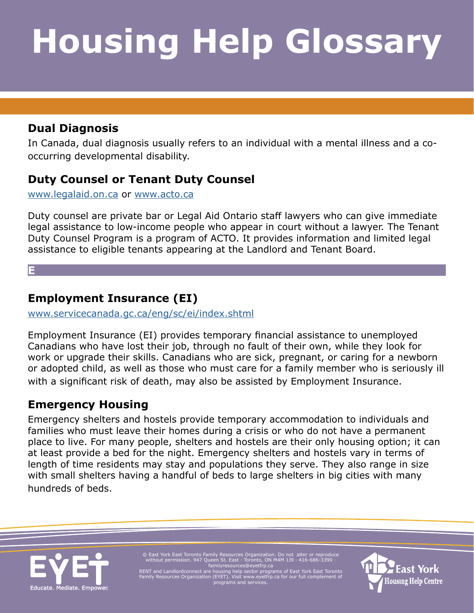# <span id="page-12-0"></span>**Dual Diagnosis**

In Canada, dual diagnosis usually refers to an individual with a mental illness and a cooccurring developmental disability.

### **Duty Counsel or Tenant Duty Counsel**

[www.legalaid.on.ca](http://www.legalaid.on.ca) or [www.acto.ca](http://www.acto.ca)

Duty counsel are private bar or Legal Aid Ontario staff lawyers who can give immediate legal assistance to low-income people who appear in court without a lawyer. The Tenant Duty Counsel Program is a program of ACTO. It provides information and limited legal assistance to eligible tenants appearing at the Landlord and Tenant Board.

**E**

## **Employment Insurance (EI)**

[www.servicecanada.gc.ca/eng/sc/ei/index.shtml](http://www.servicecanada.gc.ca/eng/sc/ei/index.shtml)

Employment Insurance (EI) provides temporary financial assistance to unemployed Canadians who have lost their job, through no fault of their own, while they look for work or upgrade their skills. Canadians who are sick, pregnant, or caring for a newborn or adopted child, as well as those who must care for a family member who is seriously ill with a significant risk of death, may also be assisted by Employment Insurance.

## **Emergency Housing**

Emergency shelters and hostels provide temporary accommodation to individuals and families who must leave their homes during a crisis or who do not have a permanent place to live. For many people, shelters and hostels are their only housing option; it can at least provide a bed for the night. Emergency shelters and hostels vary in terms of length of time residents may stay and populations they serve. They also range in size with small shelters having a handful of beds to large shelters in big cities with many hundreds of beds.



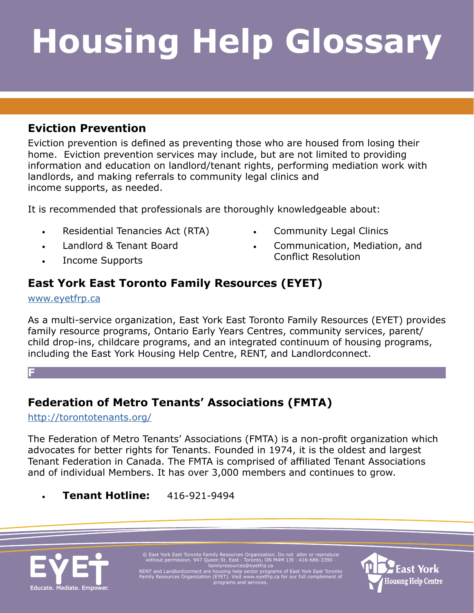## <span id="page-13-0"></span>**Eviction Prevention**

Eviction prevention is defined as preventing those who are housed from losing their home. Eviction prevention services may include, but are not limited to providing information and education on landlord/tenant rights, performing mediation work with landlords, and making referrals to community legal clinics and income supports, as needed.

It is recommended that professionals are thoroughly knowledgeable about:

- Residential Tenancies Act (RTA)
- Landlord & Tenant Board
- Income Supports
- Community Legal Clinics
- Communication, Mediation, and Conflict Resolution

## **East York East Toronto Family Resources (EYET)**

#### [www.eyetfrp.ca](http://www.eyetfrp.ca)

**F**

As a multi-service organization, East York East Toronto Family Resources (EYET) provides family resource programs, Ontario Early Years Centres, community services, parent/ child drop-ins, childcare programs, and an integrated continuum of housing programs, including the East York Housing Help Centre, RENT, and Landlordconnect.

### **Federation of Metro Tenants' Associations (FMTA)**

#### <http://torontotenants.org/>

The Federation of Metro Tenants' Associations (FMTA) is a non-profit organization which advocates for better rights for Tenants. Founded in 1974, it is the oldest and largest Tenant Federation in Canada. The FMTA is comprised of affiliated Tenant Associations and of individual Members. It has over 3,000 members and continues to grow.

• **Tenant Hotline:** 416-921-9494

© East York East Toronto Family Resources Organization. Do not alter or reproduce  $M4M$  1J9  $\cdot$  416-686-3390  $^{\circ}$ familyresources@eyetfrp.ca RENT and Landlordconnect are housing help sector programs of East York East Toronto Resources Organization (EYET). programs and services.



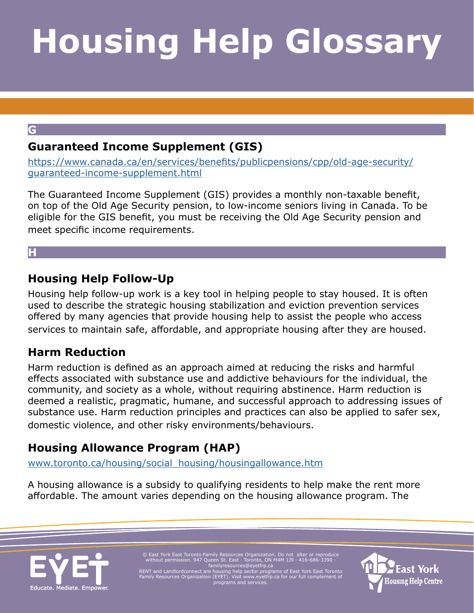#### <span id="page-14-0"></span>**G**

## **Guaranteed Income Supplement (GIS)**

[https://www.canada.ca/en/services/benefits/publicpensions/cpp/old-age-security/](https://www.canada.ca/en/services/benefits/publicpensions/cpp/old-age-security/guaranteed-income-supplement.html) [guaranteed-income-supplement.html](https://www.canada.ca/en/services/benefits/publicpensions/cpp/old-age-security/guaranteed-income-supplement.html)

The Guaranteed Income Supplement (GIS) provides a monthly non-taxable benefit, on top of the Old Age Security pension, to low-income seniors living in Canada. To be eligible for the GIS benefit, you must be receiving the Old Age Security pension and meet specific income requirements.

#### **H**

### **Housing Help Follow-Up**

Housing help follow-up work is a key tool in helping people to stay housed. It is often used to describe the strategic housing stabilization and eviction prevention services offered by many agencies that provide housing help to assist the people who access services to maintain safe, affordable, and appropriate housing after they are housed.

## **Harm Reduction**

Harm reduction is defined as an approach aimed at reducing the risks and harmful effects associated with substance use and addictive behaviours for the individual, the community, and society as a whole, without requiring abstinence. Harm reduction is deemed a realistic, pragmatic, humane, and successful approach to addressing issues of substance use. Harm reduction principles and practices can also be applied to safer sex, domestic violence, and other risky environments/behaviours.

## **Housing Allowance Program (HAP)**

[www.toronto.ca/housing/social\\_housing/housingallowance.htm](http://www.toronto.ca/housing/social_housing/housingallowance.htm)

A housing allowance is a subsidy to qualifying residents to help make the rent more affordable. The amount varies depending on the housing allowance program. The



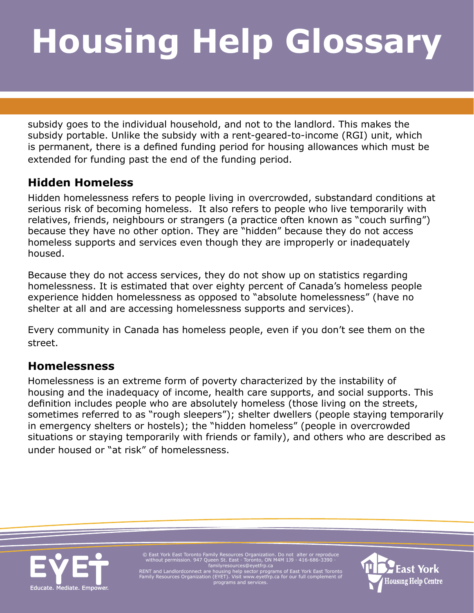<span id="page-15-0"></span>subsidy goes to the individual household, and not to the landlord. This makes the subsidy portable. Unlike the subsidy with a rent-geared-to-income (RGI) unit, which is permanent, there is a defined funding period for housing allowances which must be extended for funding past the end of the funding period.

## **Hidden Homeless**

Hidden homelessness refers to people living in overcrowded, substandard conditions at serious risk of becoming homeless. It also refers to people who live temporarily with relatives, friends, neighbours or strangers (a practice often known as "couch surfing") because they have no other option. They are "hidden" because they do not access homeless supports and services even though they are improperly or inadequately housed.

Because they do not access services, they do not show up on statistics regarding homelessness. It is estimated that over eighty percent of Canada's homeless people experience hidden homelessness as opposed to "absolute homelessness" (have no shelter at all and are accessing homelessness supports and services).

Every community in Canada has homeless people, even if you don't see them on the street.

## **Homelessness**

Homelessness is an extreme form of poverty characterized by the instability of housing and the inadequacy of income, health care supports, and social supports. This definition includes people who are absolutely homeless (those living on the streets, sometimes referred to as "rough sleepers"); shelter dwellers (people staying temporarily in emergency shelters or hostels); the "hidden homeless" (people in overcrowded situations or staying temporarily with friends or family), and others who are described as under housed or "at risk" of homelessness.



© East York East Toronto Family Resources Organization. Do not alter or reproduce without permission. 947 Queen St. East  $\cdot$  Toronto, ON M4M 1J9  $\cdot$  416-686-3390  $\cdot$ familyresources@eyetfrp.ca RENT and Landlordconnect are housing help sector programs of East York East Toronto Resources Organization

programs and services.

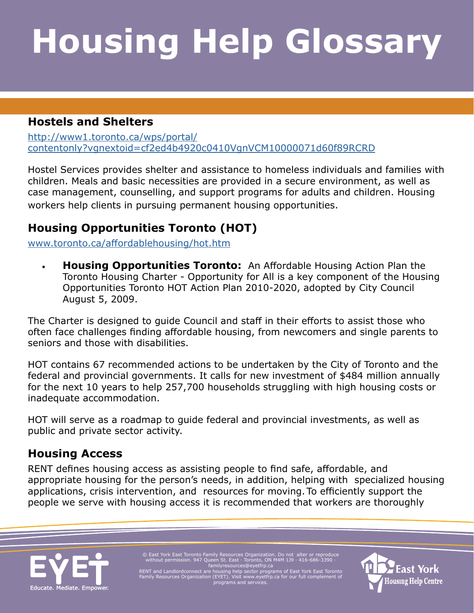## <span id="page-16-0"></span>**Hostels and Shelters**

[http://www1.toronto.ca/wps/portal/](http://www1.toronto.ca/wps/portal/contentonly?vgnextoid=cf2ed4b4920c0410VgnVCM10000071d60f89RCRD) [contentonly?vgnextoid=cf2ed4b4920c0410VgnVCM10000071d60f89RCRD](http://www1.toronto.ca/wps/portal/contentonly?vgnextoid=cf2ed4b4920c0410VgnVCM10000071d60f89RCRD)

Hostel Services provides shelter and assistance to homeless individuals and families with children. Meals and basic necessities are provided in a secure environment, as well as case management, counselling, and support programs for adults and children. Housing workers help clients in pursuing permanent housing opportunities.

## **Housing Opportunities Toronto (HOT)**

[www.toronto.ca/affordablehousing/hot.htm](http://www.toronto.ca/affordablehousing/hot.htm)

• **Housing Opportunities Toronto:** An Affordable Housing Action Plan the Toronto Housing Charter - Opportunity for All is a key component of the Housing Opportunities Toronto HOT Action Plan 2010-2020, adopted by City Council August 5, 2009.

The Charter is designed to guide Council and staff in their efforts to assist those who often face challenges finding affordable housing, from newcomers and single parents to seniors and those with disabilities.

HOT contains 67 recommended actions to be undertaken by the City of Toronto and the federal and provincial governments. It calls for new investment of \$484 million annually for the next 10 years to help 257,700 households struggling with high housing costs or inadequate accommodation.

HOT will serve as a roadmap to guide federal and provincial investments, as well as public and private sector activity.

## **Housing Access**

RENT defines housing access as assisting people to find safe, affordable, and appropriate housing for the person's needs, in addition, helping with specialized housing applications, crisis intervention, and resources for moving.To efficiently support the people we serve with housing access it is recommended that workers are thoroughly



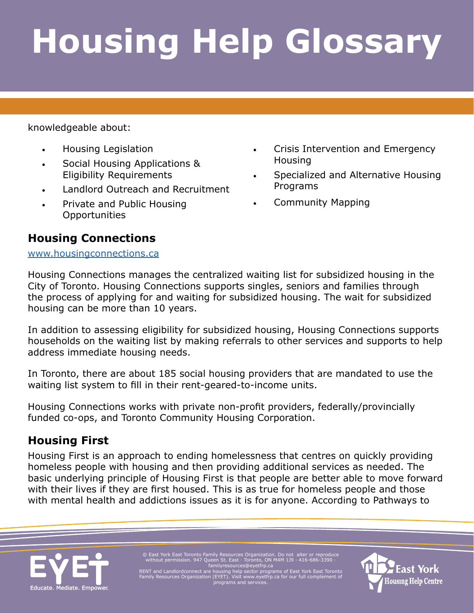<span id="page-17-0"></span>knowledgeable about:

- Housing Legislation
- Social Housing Applications & Eligibility Requirements
- Landlord Outreach and Recruitment
- Private and Public Housing **Opportunities**
- Crisis Intervention and Emergency Housing
- Specialized and Alternative Housing Programs
- Community Mapping

## **Housing Connections**

[www.housingconnections.ca](http://www.housingconnections.ca)

Housing Connections manages the centralized waiting list for subsidized housing in the City of Toronto. Housing Connections supports singles, seniors and families through the process of applying for and waiting for subsidized housing. The wait for subsidized housing can be more than 10 years.

In addition to assessing eligibility for subsidized housing, Housing Connections supports households on the waiting list by making referrals to other services and supports to help address immediate housing needs.

In Toronto, there are about 185 social housing providers that are mandated to use the waiting list system to fill in their rent-geared-to-income units.

Housing Connections works with private non-profit providers, federally/provincially funded co-ops, and Toronto Community Housing Corporation.

## **Housing First**

Housing First is an approach to ending homelessness that centres on quickly providing homeless people with housing and then providing additional services as needed. The basic underlying principle of Housing First is that people are better able to move forward with their lives if they are first housed. This is as true for homeless people and those with mental health and addictions issues as it is for anyone. According to Pathways to



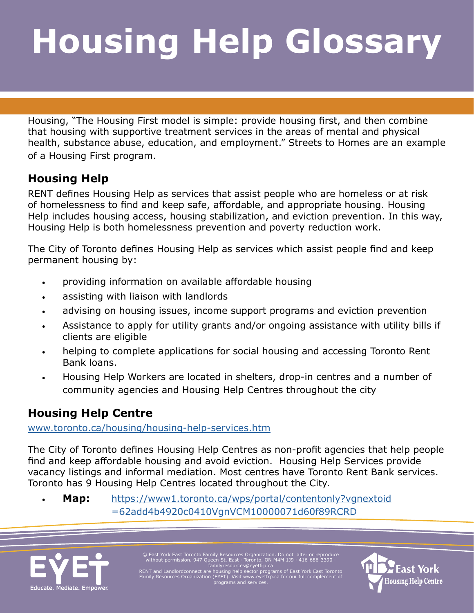<span id="page-18-0"></span>Housing, "The Housing First model is simple: provide housing first, and then combine that housing with supportive treatment services in the areas of mental and physical health, substance abuse, education, and employment." Streets to Homes are an example of a Housing First program.

## **Housing Help**

RENT defines Housing Help as services that assist people who are homeless or at risk of homelessness to find and keep safe, affordable, and appropriate housing. Housing Help includes housing access, housing stabilization, and eviction prevention. In this way, Housing Help is both homelessness prevention and poverty reduction work.

The City of Toronto defines Housing Help as services which assist people find and keep permanent housing by:

- providing information on available affordable housing
- assisting with liaison with landlords
- advising on housing issues, income support programs and eviction prevention
- Assistance to apply for utility grants and/or ongoing assistance with utility bills if clients are eligible
- helping to complete applications for social housing and accessing Toronto Rent Bank loans.
- Housing Help Workers are located in shelters, drop-in centres and a number of community agencies and Housing Help Centres throughout the city

# **Housing Help Centre**

#### [www.toronto.ca/housing/housing-help-services.htm](http://www.toronto.ca/housing/housing-help-services.htm)

The City of Toronto defines Housing Help Centres as non-profit agencies that help people find and keep affordable housing and avoid eviction. Housing Help Services provide vacancy listings and informal mediation. Most centres have Toronto Rent Bank services. Toronto has 9 Housing Help Centres located throughout the City.

• **Map:** [https://www1.toronto.ca/wps/portal/contentonly?vgnextoid](https://www1.toronto.ca/wps/portal/contentonly?vgnextoid=62add4b4920c0410VgnVCM10000071d60f89RCRD) [=62add4b4920c0410VgnVCM10000071d](https://www1.toronto.ca/wps/portal/contentonly?vgnextoid=62add4b4920c0410VgnVCM10000071d60f89RCRD)60f89RCRD



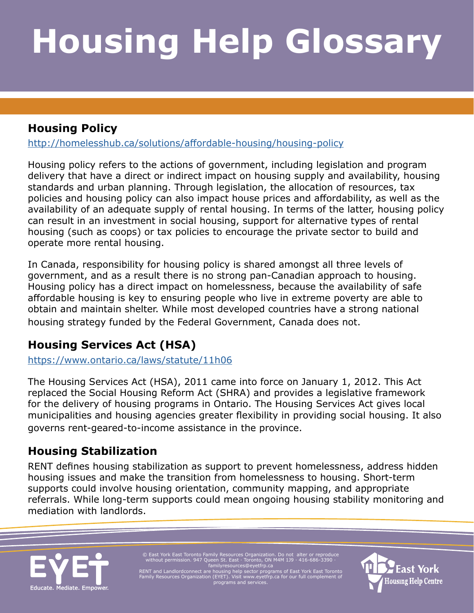## <span id="page-19-0"></span>**Housing Policy**

<http://homelesshub.ca/solutions/affordable-housing/housing-policy>

Housing policy refers to the actions of government, including legislation and program delivery that have a direct or indirect impact on housing supply and availability, housing standards and urban planning. Through legislation, the allocation of resources, tax policies and housing policy can also impact house prices and affordability, as well as the availability of an adequate supply of rental housing. In terms of the latter, housing policy can result in an investment in social housing, support for alternative types of rental housing (such as coops) or tax policies to encourage the private sector to build and operate more rental housing.

In Canada, responsibility for housing policy is shared amongst all three levels of government, and as a result there is no strong pan-Canadian approach to housing. Housing policy has a direct impact on homelessness, because the availability of safe affordable housing is key to ensuring people who live in extreme poverty are able to obtain and maintain shelter. While most developed countries have a strong national housing strategy funded by the Federal Government, Canada does not.

## **Housing Services Act (HSA)**

<https://www.ontario.ca/laws/statute/11h06>

The Housing Services Act (HSA), 2011 came into force on January 1, 2012. This Act replaced the Social Housing Reform Act (SHRA) and provides a legislative framework for the delivery of housing programs in Ontario. The Housing Services Act gives local municipalities and housing agencies greater flexibility in providing social housing. It also governs rent-geared-to-income assistance in the province.

## **Housing Stabilization**

RENT defines housing stabilization as support to prevent homelessness, address hidden housing issues and make the transition from homelessness to housing. Short-term supports could involve housing orientation, community mapping, and appropriate referrals. While long-term supports could mean ongoing housing stability monitoring and mediation with landlords.



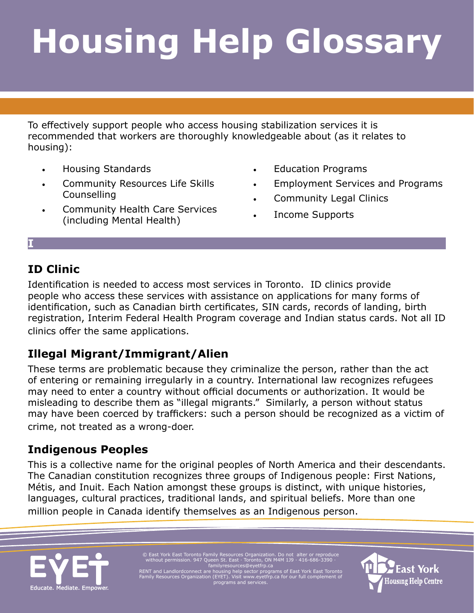<span id="page-20-0"></span>To effectively support people who access housing stabilization services it is recommended that workers are thoroughly knowledgeable about (as it relates to housing):

- Housing Standards
- Community Resources Life Skills **Counselling**
- Community Health Care Services (including Mental Health)
- Education Programs
- Employment Services and Programs
- Community Legal Clinics
- Income Supports

## **ID Clinic**

**I**

Identification is needed to access most services in Toronto. ID clinics provide people who access these services with assistance on applications for many forms of identification, such as Canadian birth certificates, SIN cards, records of landing, birth registration, Interim Federal Health Program coverage and Indian status cards. Not all ID clinics offer the same applications.

# **Illegal Migrant/Immigrant/Alien**

These terms are problematic because they criminalize the person, rather than the act of entering or remaining irregularly in a country. International law recognizes refugees may need to enter a country without official documents or authorization. It would be misleading to describe them as "illegal migrants." Similarly, a person without status may have been coerced by traffickers: such a person should be recognized as a victim of crime, not treated as a wrong-doer.

## **Indigenous Peoples**

This is a collective name for the original peoples of North America and their descendants. The Canadian constitution recognizes three groups of Indigenous people: First Nations, Métis, and Inuit. Each Nation amongst these groups is distinct, with unique histories, languages, cultural practices, traditional lands, and spiritual beliefs. More than one million people in Canada identify themselves as an Indigenous person.



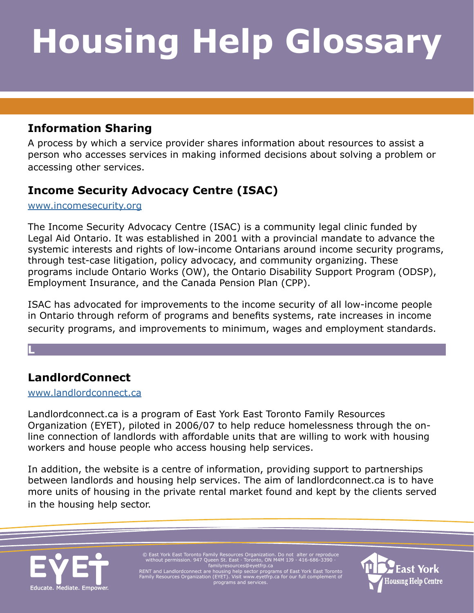## <span id="page-21-0"></span>**Information Sharing**

A process by which a service provider shares information about resources to assist a person who accesses services in making informed decisions about solving a problem or accessing other services.

## **Income Security Advocacy Centre (ISAC)**

[www.incomesecurity.org](http://www.incomesecurity.org)

The Income Security Advocacy Centre (ISAC) is a community legal clinic funded by Legal Aid Ontario. It was established in 2001 with a provincial mandate to advance the systemic interests and rights of low-income Ontarians around income security programs, through test-case litigation, policy advocacy, and community organizing. These programs include Ontario Works (OW), the Ontario Disability Support Program (ODSP), Employment Insurance, and the Canada Pension Plan (CPP).

ISAC has advocated for improvements to the income security of all low-income people in Ontario through reform of programs and benefits systems, rate increases in income security programs, and improvements to minimum, wages and employment standards.

# **LandlordConnect**

**L**

[www.landlordconnect.ca](http://www.landlordconnect.ca)

Landlordconnect.ca is a program of East York East Toronto Family Resources Organization (EYET), piloted in 2006/07 to help reduce homelessness through the online connection of landlords with affordable units that are willing to work with housing workers and house people who access housing help services.

In addition, the website is a centre of information, providing support to partnerships between landlords and housing help services. The aim of landlordconnect.ca is to have more units of housing in the private rental market found and kept by the clients served in the housing help sector.



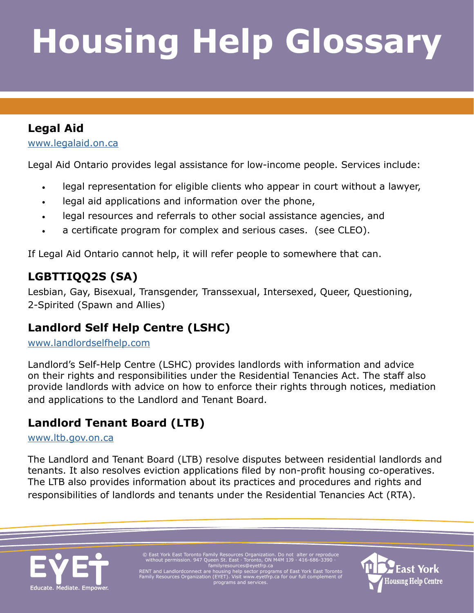## <span id="page-22-0"></span>**Legal Aid**

#### [www.legalaid.on.ca](http://www.legalaid.on.ca)

Legal Aid Ontario provides legal assistance for low-income people. Services include:

- legal representation for eligible clients who appear in court without a lawyer,
- legal aid applications and information over the phone,
- legal resources and referrals to other social assistance agencies, and
- a certificate program for complex and serious cases. (see CLEO).

If Legal Aid Ontario cannot help, it will refer people to somewhere that can.

# **LGBTTIQQ2S (SA)**

Lesbian, Gay, Bisexual, Transgender, Transsexual, Intersexed, Queer, Questioning, 2-Spirited (Spawn and Allies)

# **Landlord Self Help Centre (LSHC)**

#### [www.landlordselfhelp.com](http://www.landlordselfhelp.com)

Landlord's Self-Help Centre (LSHC) provides landlords with information and advice on their rights and responsibilities under the Residential Tenancies Act. The staff also provide landlords with advice on how to enforce their rights through notices, mediation and applications to the Landlord and Tenant Board.

# **Landlord Tenant Board (LTB)**

#### [www.ltb.gov.on.ca](http://www.ltb.gov.on.ca)

The Landlord and Tenant Board (LTB) resolve disputes between residential landlords and tenants. It also resolves eviction applications filed by non-profit housing co-operatives. The LTB also provides information about its practices and procedures and rights and responsibilities of landlords and tenants under the Residential Tenancies Act (RTA).



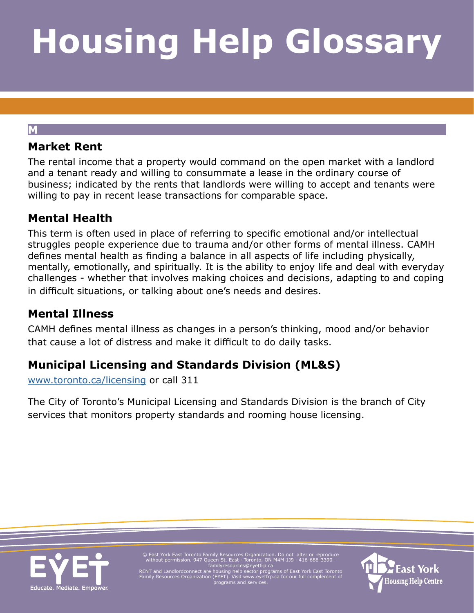#### <span id="page-23-0"></span>**M**

### **Market Rent**

The rental income that a property would command on the open market with a landlord and a tenant ready and willing to consummate a lease in the ordinary course of business; indicated by the rents that landlords were willing to accept and tenants were willing to pay in recent lease transactions for comparable space.

### **Mental Health**

This term is often used in place of referring to specific emotional and/or intellectual struggles people experience due to trauma and/or other forms of mental illness. CAMH defines mental health as finding a balance in all aspects of life including physically, mentally, emotionally, and spiritually. It is the ability to enjoy life and deal with everyday challenges - whether that involves making choices and decisions, adapting to and coping in difficult situations, or talking about one's needs and desires.

## **Mental Illness**

CAMH defines mental illness as changes in a person's thinking, mood and/or behavior that cause a lot of distress and make it difficult to do daily tasks.

## **Municipal Licensing and Standards Division (ML&S)**

[www.toronto.ca/licensing](http://www.toronto.ca/licensing) or call 311

The City of Toronto's Municipal Licensing and Standards Division is the branch of City services that monitors property standards and rooming house licensing.



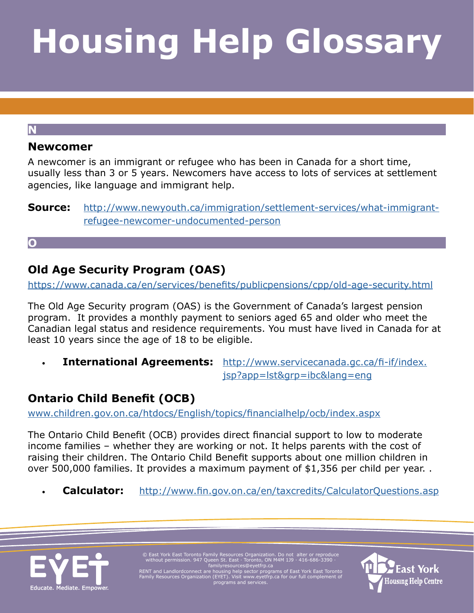## <span id="page-24-0"></span>**N**

### **Newcomer**

A newcomer is an immigrant or refugee who has been in Canada for a short time, usually less than 3 or 5 years. Newcomers have access to lots of services at settlement agencies, like language and immigrant help.

**O**

## **Old Age Security Program (OAS)**

<https://www.canada.ca/en/services/benefits/publicpensions/cpp/old-age-security.html>

The Old Age Security program (OAS) is the Government of Canada's largest pension program. It provides a monthly payment to seniors aged 65 and older who meet the Canadian legal status and residence requirements. You must have lived in Canada for at least 10 years since the age of 18 to be eligible.

• **International Agreements:** [http://www.servicecanada.gc.ca/fi-if/index.](http://www.servicecanada.gc.ca/fi-if/index.jsp?app=lst&grp=ibc&lang=eng) [jsp?app=lst&grp=ibc&lang=eng](http://www.servicecanada.gc.ca/fi-if/index.jsp?app=lst&grp=ibc&lang=eng)

## **Ontario Child Benefit (OCB)**

[www.children.gov.on.ca/htdocs/English/topics/financialhelp/ocb/index.aspx](http://www.children.gov.on.ca/htdocs/English/topics/financialhelp/ocb/index.aspx)

The Ontario Child Benefit (OCB) provides direct financial support to low to moderate income families – whether they are working or not. It helps parents with the cost of raising their children. The Ontario Child Benefit supports about one million children in over 500,000 families. It provides a maximum payment of \$1,356 per child per year. .

• **Calculator:** <http://www.fin.gov.on.ca/en/taxcredits/CalculatorQuestions.asp>



© East York East Toronto Family Resources Organization. Do not alter or reproduce without permission. 947 Queen St. East · Toronto, ON M4M 1J9 · 416-686-3390 · familyresources@eyetfrp.ca RENT and Landlordconnect are housing help sector programs of East York East Toronto Family Resources Organization (EYET). Visit www.eyetfrp.ca for our full complement of programs and services.



**Source:** [http://www.newyouth.ca/immigration/settlement-services/what-immigrant](http://www.newyouth.ca/immigration/settlement-services/what-immigrant-refugee-newcomer-undocumented-person)  [refugee-newcomer-undocumented-person](http://www.newyouth.ca/immigration/settlement-services/what-immigrant-refugee-newcomer-undocumented-person)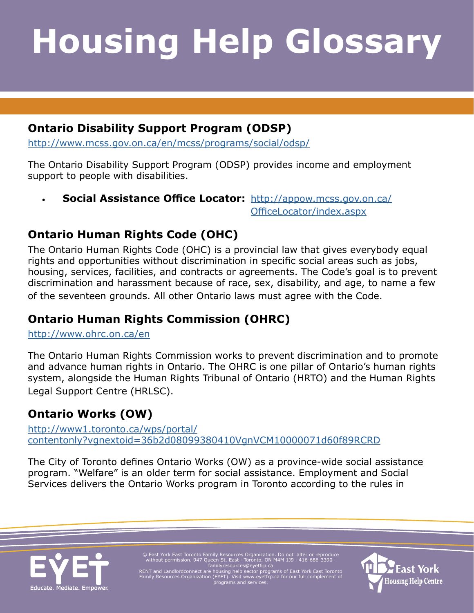## <span id="page-25-0"></span>**Ontario Disability Support Program (ODSP)**

<http://www.mcss.gov.on.ca/en/mcss/programs/social/odsp/>

The Ontario Disability Support Program (ODSP) provides income and employment support to people with disabilities.

• **Social Assistance Office Locator:** [http://appow.mcss.gov.on.ca/](http://appow.mcss.gov.on.ca/OfficeLocator/index.aspx ) [OfficeLocator/index.aspx](http://appow.mcss.gov.on.ca/OfficeLocator/index.aspx )

# **Ontario Human Rights Code (OHC)**

The Ontario Human Rights Code (OHC) is a provincial law that gives everybody equal rights and opportunities without discrimination in specific social areas such as jobs, housing, services, facilities, and contracts or agreements. The Code's goal is to prevent discrimination and harassment because of race, sex, disability, and age, to name a few of the seventeen grounds. All other Ontario laws must agree with the Code.

# **Ontario Human Rights Commission (OHRC)**

<http://www.ohrc.on.ca/en>

The Ontario Human Rights Commission works to prevent discrimination and to promote and advance human rights in Ontario. The OHRC is one pillar of Ontario's human rights system, alongside the Human Rights Tribunal of Ontario (HRTO) and the Human Rights Legal Support Centre (HRLSC).

# **Ontario Works (OW)**

[http://www1.toronto.ca/wps/portal/](http://www1.toronto.ca/wps/portal/contentonly?vgnextoid=36b2d08099380410VgnVCM10000071d60f89RCRD) [contentonly?vgnextoid=36b2d08099380410VgnVCM10000071d60f89RCRD](http://www1.toronto.ca/wps/portal/contentonly?vgnextoid=36b2d08099380410VgnVCM10000071d60f89RCRD)

The City of Toronto defines Ontario Works (OW) as a province-wide social assistance program. "Welfare" is an older term for social assistance. Employment and Social Services delivers the Ontario Works program in Toronto according to the rules in



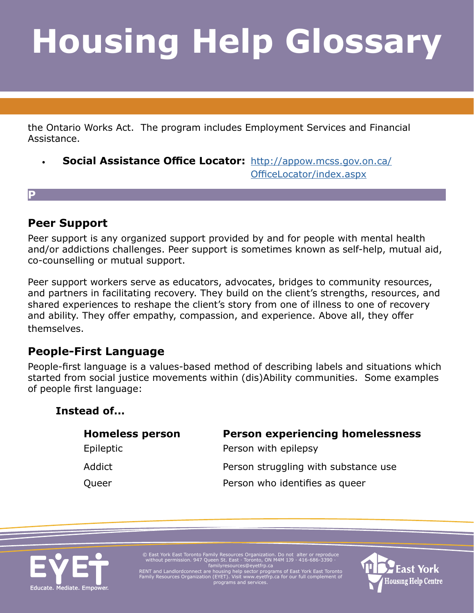<span id="page-26-0"></span>the Ontario Works Act. The program includes Employment Services and Financial Assistance.

• **Social Assistance Office Locator:** [http://appow.mcss.gov.on.ca/](http://appow.mcss.gov.on.ca/OfficeLocator/index.aspx) [OfficeLocator/index.aspx](http://appow.mcss.gov.on.ca/OfficeLocator/index.aspx)

#### **P**

### **Peer Support**

Peer support is any organized support provided by and for people with mental health and/or addictions challenges. Peer support is sometimes known as self-help, mutual aid, co-counselling or mutual support.

Peer support workers serve as educators, advocates, bridges to community resources, and partners in facilitating recovery. They build on the client's strengths, resources, and shared experiences to reshape the client's story from one of illness to one of recovery and ability. They offer empathy, compassion, and experience. Above all, they offer themselves.

## **People-First Language**

People-first language is a values-based method of describing labels and situations which started from social justice movements within (dis)Ability communities. Some examples of people first language:

### **Instead of...**

| <b>Homeless person</b> | <b>Person experiencing homelessness</b> |
|------------------------|-----------------------------------------|
| Epileptic              | Person with epilepsy                    |
| Addict                 | Person struggling with substance use    |
| Queer                  | Person who identifies as queer          |



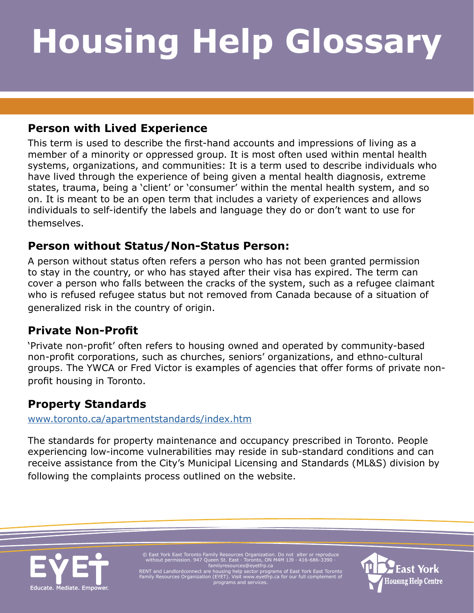## <span id="page-27-0"></span>**Person with Lived Experience**

This term is used to describe the first-hand accounts and impressions of living as a member of a minority or oppressed group. It is most often used within mental health systems, organizations, and communities: It is a term used to describe individuals who have lived through the experience of being given a mental health diagnosis, extreme states, trauma, being a 'client' or 'consumer' within the mental health system, and so on. It is meant to be an open term that includes a variety of experiences and allows individuals to self-identify the labels and language they do or don't want to use for themselves.

### **Person without Status/Non-Status Person:**

A person without status often refers a person who has not been granted permission to stay in the country, or who has stayed after their visa has expired. The term can cover a person who falls between the cracks of the system, such as a refugee claimant who is refused refugee status but not removed from Canada because of a situation of generalized risk in the country of origin.

### **Private Non-Profit**

'Private non-profit' often refers to housing owned and operated by community-based non-profit corporations, such as churches, seniors' organizations, and ethno-cultural groups. The YWCA or Fred Victor is examples of agencies that offer forms of private nonprofit housing in Toronto.

### **Property Standards**

[www.toronto.ca/apartmentstandards/index.htm](http://www.toronto.ca/apartmentstandards/index.htm)

The standards for property maintenance and occupancy prescribed in Toronto. People experiencing low-income vulnerabilities may reside in sub-standard conditions and can receive assistance from the City's Municipal Licensing and Standards (ML&S) division by following the complaints process outlined on the website.



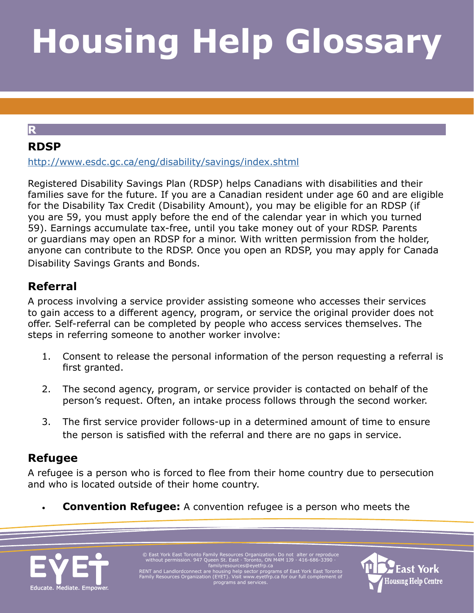#### <span id="page-28-0"></span>**R**

### **RDSP**

<http://www.esdc.gc.ca/eng/disability/savings/index.shtml>

Registered Disability Savings Plan (RDSP) helps Canadians with disabilities and their families save for the future. If you are a Canadian resident under age 60 and are eligible for the Disability Tax Credit (Disability Amount), you may be eligible for an RDSP (if you are 59, you must apply before the end of the calendar year in which you turned 59). Earnings accumulate tax-free, until you take money out of your RDSP. Parents or guardians may open an RDSP for a minor. With written permission from the holder, anyone can contribute to the RDSP. Once you open an RDSP, you may apply for Canada Disability Savings Grants and Bonds.

## **Referral**

A process involving a service provider assisting someone who accesses their services to gain access to a different agency, program, or service the original provider does not offer. Self-referral can be completed by people who access services themselves. The steps in referring someone to another worker involve:

- 1. Consent to release the personal information of the person requesting a referral is first granted.
- 2. The second agency, program, or service provider is contacted on behalf of the person's request. Often, an intake process follows through the second worker.
- 3. The first service provider follows-up in a determined amount of time to ensure the person is satisfied with the referral and there are no gaps in service.

## **Refugee**

A refugee is a person who is forced to flee from their home country due to persecution and who is located outside of their home country.

**Convention Refugee:** A convention refugee is a person who meets the



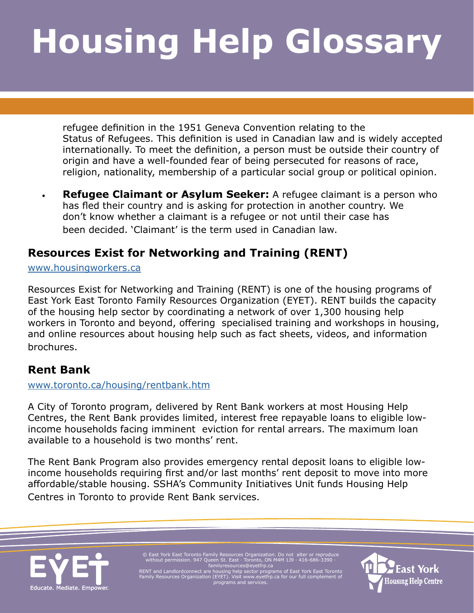<span id="page-29-0"></span>refugee definition in the 1951 Geneva Convention relating to the Status of Refugees. This definition is used in Canadian law and is widely accepted internationally. To meet the definition, a person must be outside their country of origin and have a well-founded fear of being persecuted for reasons of race, religion, nationality, membership of a particular social group or political opinion.

• **Refugee Claimant or Asylum Seeker:** A refugee claimant is a person who has fled their country and is asking for protection in another country. We don't know whether a claimant is a refugee or not until their case has been decided. 'Claimant' is the term used in Canadian law.

## **Resources Exist for Networking and Training (RENT)**

[www.housingworkers.ca](http://www.housingworkers.ca)

Resources Exist for Networking and Training (RENT) is one of the housing programs of East York East Toronto Family Resources Organization (EYET). RENT builds the capacity of the housing help sector by coordinating a network of over 1,300 housing help workers in Toronto and beyond, offering specialised training and workshops in housing, and online resources about housing help such as fact sheets, videos, and information brochures.

## **Rent Bank**

#### [www.toronto.ca/housing/rentbank.htm](http://www.toronto.ca/housing/rentbank.htm)

A City of Toronto program, delivered by Rent Bank workers at most Housing Help Centres, the Rent Bank provides limited, interest free repayable loans to eligible lowincome households facing imminent eviction for rental arrears. The maximum loan available to a household is two months' rent.

The Rent Bank Program also provides emergency rental deposit loans to eligible lowincome households requiring first and/or last months' rent deposit to move into more affordable/stable housing. SSHA's Community Initiatives Unit funds Housing Help Centres in Toronto to provide Rent Bank services.



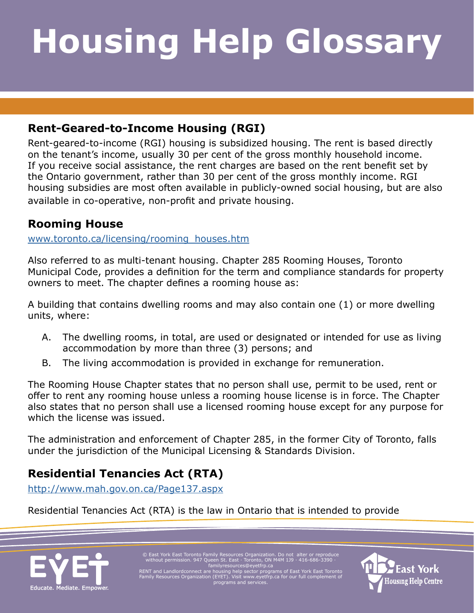## <span id="page-30-0"></span>**Rent-Geared-to-Income Housing (RGI)**

Rent-geared-to-income (RGI) housing is subsidized housing. The rent is based directly on the tenant's income, usually 30 per cent of the gross monthly household income. If you receive social assistance, the rent charges are based on the rent benefit set by the Ontario government, rather than 30 per cent of the gross monthly income. RGI housing subsidies are most often available in publicly-owned social housing, but are also available in co-operative, non-profit and private housing.

## **Rooming House**

[www.toronto.ca/licensing/rooming\\_houses.htm](http://www.toronto.ca/licensing/rooming_houses.htm)

Also referred to as multi-tenant housing. Chapter 285 Rooming Houses, Toronto Municipal Code, provides a definition for the term and compliance standards for property owners to meet. The chapter defines a rooming house as:

A building that contains dwelling rooms and may also contain one (1) or more dwelling units, where:

- A. The dwelling rooms, in total, are used or designated or intended for use as living accommodation by more than three (3) persons; and
- B. The living accommodation is provided in exchange for remuneration.

The Rooming House Chapter states that no person shall use, permit to be used, rent or offer to rent any rooming house unless a rooming house license is in force. The Chapter also states that no person shall use a licensed rooming house except for any purpose for which the license was issued.

The administration and enforcement of Chapter 285, in the former City of Toronto, falls under the jurisdiction of the Municipal Licensing & Standards Division.

# **Residential Tenancies Act (RTA)**

<http://www.mah.gov.on.ca/Page137.aspx>

Residential Tenancies Act (RTA) is the law in Ontario that is intended to provide



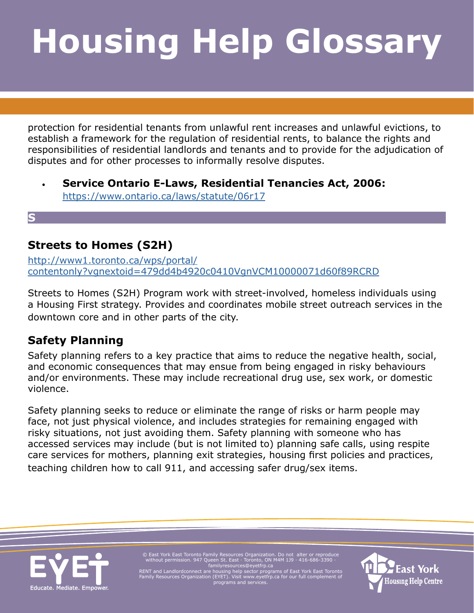<span id="page-31-0"></span>protection for residential tenants from unlawful rent increases and unlawful evictions, to establish a framework for the regulation of residential rents, to balance the rights and responsibilities of residential landlords and tenants and to provide for the adjudication of disputes and for other processes to informally resolve disputes.

• **Service Ontario E-Laws, Residential Tenancies Act, 2006:** <https://www.ontario.ca/laws/statute/06r17>

## **Streets to Homes (S2H)**

[http://www1.toronto.ca/wps/portal/](http://www1.toronto.ca/wps/portal/contentonly?vgnextoid=479dd4b4920c0410VgnVCM10000071d60f89RCRD) [contentonly?vgnextoid=479dd4b4920c0410VgnVCM10000071d60f89RCRD](http://www1.toronto.ca/wps/portal/contentonly?vgnextoid=479dd4b4920c0410VgnVCM10000071d60f89RCRD)

Streets to Homes (S2H) Program work with street-involved, homeless individuals using a Housing First strategy. Provides and coordinates mobile street outreach services in the downtown core and in other parts of the city.

## **Safety Planning**

**S**

Safety planning refers to a key practice that aims to reduce the negative health, social, and economic consequences that may ensue from being engaged in risky behaviours and/or environments. These may include recreational drug use, sex work, or domestic violence.

Safety planning seeks to reduce or eliminate the range of risks or harm people may face, not just physical violence, and includes strategies for remaining engaged with risky situations, not just avoiding them. Safety planning with someone who has accessed services may include (but is not limited to) planning safe calls, using respite care services for mothers, planning exit strategies, housing first policies and practices, teaching children how to call 911, and accessing safer drug/sex items.



© East York East Toronto Family Resources Organization. Do not alter or reproduce  $M4M$  1J9  $\cdot$  416-686-3390 familyresources@eyetfrp.ca RENT and Landlordconnect are housing help sector programs of East York East Toronto Resources Organization (EYET) programs and services.

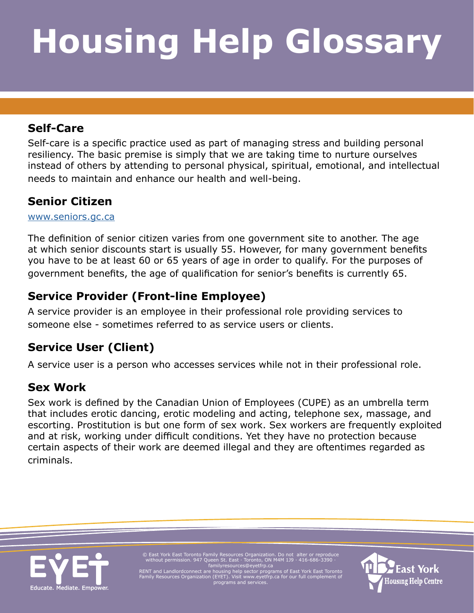## <span id="page-32-0"></span>**Self-Care**

Self-care is a specific practice used as part of managing stress and building personal resiliency. The basic premise is simply that we are taking time to nurture ourselves instead of others by attending to personal physical, spiritual, emotional, and intellectual needs to maintain and enhance our health and well-being.

## **Senior Citizen**

[www.seniors.gc.ca](http://www.seniors.gc.ca)

The definition of senior citizen varies from one government site to another. The age at which senior discounts start is usually 55. However, for many government benefits you have to be at least 60 or 65 years of age in order to qualify. For the purposes of government benefits, the age of qualification for senior's benefits is currently 65.

## **Service Provider (Front-line Employee)**

A service provider is an employee in their professional role providing services to someone else - sometimes referred to as service users or clients.

# **Service User (Client)**

A service user is a person who accesses services while not in their professional role.

## **Sex Work**

Sex work is defined by the Canadian Union of Employees (CUPE) as an umbrella term that includes erotic dancing, erotic modeling and acting, telephone sex, massage, and escorting. Prostitution is but one form of sex work. Sex workers are frequently exploited and at risk, working under difficult conditions. Yet they have no protection because certain aspects of their work are deemed illegal and they are oftentimes regarded as criminals.



© East York East Toronto Family Resources Organization. Do not alter or reproduce without permission. 947 Queen St. East  $\cdot$  Toronto, ON M4M 1J9  $\cdot$  416-686-3390  $\cdot$ familyresources@eyetfrp.ca RENT and Landlordconnect are housing help sector programs of East York East Toronto Resources Organizat

programs and services.

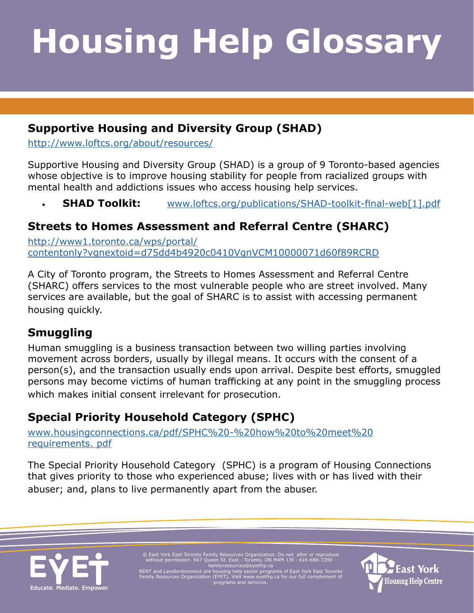## <span id="page-33-0"></span>**Supportive Housing and Diversity Group (SHAD)**

<http://www.loftcs.org/about/resources/>

Supportive Housing and Diversity Group (SHAD) is a group of 9 Toronto-based agencies whose objective is to improve housing stability for people from racialized groups with mental health and addictions issues who access housing help services.

• **SHAD Toolkit:** [www.loftcs.org/publications/SHAD-toolkit-final-web\[1\].pdf](http://www.loftcs.org/publications/SHAD-toolkit-final-web[1].pdf)

## **Streets to Homes Assessment and Referral Centre (SHARC)**

[http://www1.toronto.ca/wps/portal/](http://www1.toronto.ca/wps/portal/contentonly?vgnextoid=d75dd4b4920c0410VgnVCM10000071d60f89RCRD) [contentonly?vgnextoid=d75dd4b4920c0410VgnVCM10000071d60f89RCRD](http://www1.toronto.ca/wps/portal/contentonly?vgnextoid=d75dd4b4920c0410VgnVCM10000071d60f89RCRD)

A City of Toronto program, the Streets to Homes Assessment and Referral Centre (SHARC) offers services to the most vulnerable people who are street involved. Many services are available, but the goal of SHARC is to assist with accessing permanent housing quickly.

# **Smuggling**

Human smuggling is a business transaction between two willing parties involving movement across borders, usually by illegal means. It occurs with the consent of a person(s), and the transaction usually ends upon arrival. Despite best efforts, smuggled persons may become victims of human trafficking at any point in the smuggling process which makes initial consent irrelevant for prosecution.

# **Special Priority Household Category (SPHC)**

[www.housingconnections.ca/pdf/SPHC%20-%20how%20to%20meet%20](http://www.housingconnections.ca/pdf/SPHC%20-%20how%20to%20meet%20requirements. pdf) [requirements. pdf](http://www.housingconnections.ca/pdf/SPHC%20-%20how%20to%20meet%20requirements. pdf)

The Special Priority Household Category (SPHC) is a program of Housing Connections that gives priority to those who experienced abuse; lives with or has lived with their abuser; and, plans to live permanently apart from the abuser.



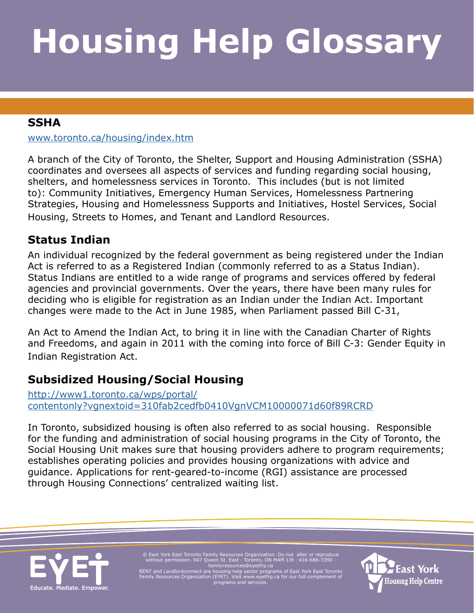## <span id="page-34-0"></span>**SSHA**

[www.toronto.ca/housing/index.htm](http://www.toronto.ca/housing/index.htm)

A branch of the City of Toronto, the Shelter, Support and Housing Administration (SSHA) coordinates and oversees all aspects of services and funding regarding social housing, shelters, and homelessness services in Toronto. This includes (but is not limited to): Community Initiatives, Emergency Human Services, Homelessness Partnering Strategies, Housing and Homelessness Supports and Initiatives, Hostel Services, Social Housing, Streets to Homes, and Tenant and Landlord Resources.

## **Status Indian**

An individual recognized by the federal government as being registered under the Indian Act is referred to as a Registered Indian (commonly referred to as a Status Indian). Status Indians are entitled to a wide range of programs and services offered by federal agencies and provincial governments. Over the years, there have been many rules for deciding who is eligible for registration as an Indian under the Indian Act. Important changes were made to the Act in June 1985, when Parliament passed Bill C-31,

An Act to Amend the Indian Act, to bring it in line with the Canadian Charter of Rights and Freedoms, and again in 2011 with the coming into force of Bill C-3: Gender Equity in Indian Registration Act.

## **Subsidized Housing/Social Housing**

[http://www1.toronto.ca/wps/portal/](http://www1.toronto.ca/wps/portal/contentonly?vgnextoid=310fab2cedfb0410VgnVCM10000071d60f89RCRD) [contentonly?vgnextoid=310fab2cedfb0410VgnVCM10000071d60f89RCRD](http://www1.toronto.ca/wps/portal/contentonly?vgnextoid=310fab2cedfb0410VgnVCM10000071d60f89RCRD)

In Toronto, subsidized housing is often also referred to as social housing. Responsible for the funding and administration of social housing programs in the City of Toronto, the Social Housing Unit makes sure that housing providers adhere to program requirements; establishes operating policies and provides housing organizations with advice and guidance. Applications for rent-geared-to-income (RGI) assistance are processed through Housing Connections' centralized waiting list.



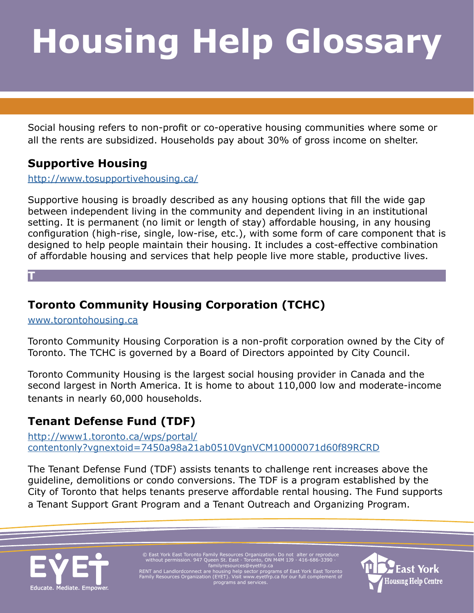<span id="page-35-0"></span>Social housing refers to non-profit or co-operative housing communities where some or all the rents are subsidized. Households pay about 30% of gross income on shelter.

## **Supportive Housing**

<http://www.tosupportivehousing.ca/>

Supportive housing is broadly described as any housing options that fill the wide gap between independent living in the community and dependent living in an institutional setting. It is permanent (no limit or length of stay) affordable housing, in any housing configuration (high-rise, single, low-rise, etc.), with some form of care component that is designed to help people maintain their housing. It includes a cost-effective combination of affordable housing and services that help people live more stable, productive lives.

**T**

# **Toronto Community Housing Corporation (TCHC)**

#### [www.torontohousing.ca](http://www.torontohousing.ca)

Toronto Community Housing Corporation is a non-profit corporation owned by the City of Toronto. The TCHC is governed by a Board of Directors appointed by City Council.

Toronto Community Housing is the largest social housing provider in Canada and the second largest in North America. It is home to about 110,000 low and moderate-income tenants in nearly 60,000 households.

## **Tenant Defense Fund (TDF)**

[http://www1.toronto.ca/wps/portal/](http://www1.toronto.ca/wps/portal/contentonly?vgnextoid=7450a98a21ab0510VgnVCM10000071d60f89RCRD) [contentonly?vgnextoid=7450a98a21ab0510VgnVCM10000071d60f89RCRD](http://www1.toronto.ca/wps/portal/contentonly?vgnextoid=7450a98a21ab0510VgnVCM10000071d60f89RCRD)

The Tenant Defense Fund (TDF) assists tenants to challenge rent increases above the guideline, demolitions or condo conversions. The TDF is a program established by the City of Toronto that helps tenants preserve affordable rental housing. The Fund supports a Tenant Support Grant Program and a Tenant Outreach and Organizing Program.



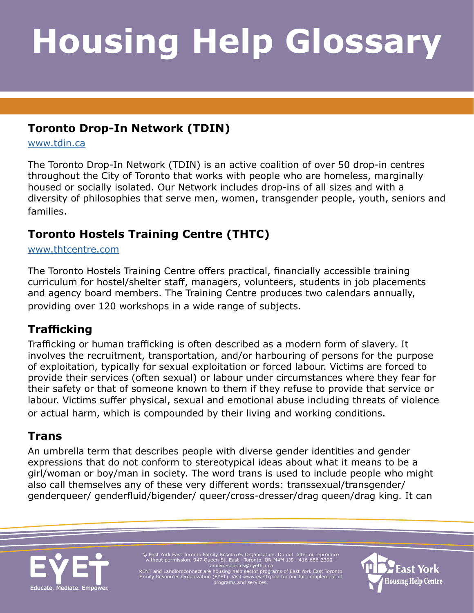## <span id="page-36-0"></span>**Toronto Drop-In Network (TDIN)**

#### [www.tdin.ca](http://www.tdin.ca)

The Toronto Drop-In Network (TDIN) is an active coalition of over 50 drop-in centres throughout the City of Toronto that works with people who are homeless, marginally housed or socially isolated. Our Network includes drop-ins of all sizes and with a diversity of philosophies that serve men, women, transgender people, youth, seniors and families.

## **Toronto Hostels Training Centre (THTC)**

[www.thtcentre.com](http://www.thtcentre.com)

The Toronto Hostels Training Centre offers practical, financially accessible training curriculum for hostel/shelter staff, managers, volunteers, students in job placements and agency board members. The Training Centre produces two calendars annually, providing over 120 workshops in a wide range of subjects.

## **Trafficking**

Trafficking or human trafficking is often described as a modern form of slavery. It involves the recruitment, transportation, and/or harbouring of persons for the purpose of exploitation, typically for sexual exploitation or forced labour. Victims are forced to provide their services (often sexual) or labour under circumstances where they fear for their safety or that of someone known to them if they refuse to provide that service or labour. Victims suffer physical, sexual and emotional abuse including threats of violence or actual harm, which is compounded by their living and working conditions.

### **Trans**

An umbrella term that describes people with diverse gender identities and gender expressions that do not conform to stereotypical ideas about what it means to be a girl/woman or boy/man in society. The word trans is used to include people who might also call themselves any of these very different words: transsexual/transgender/ genderqueer/ genderfluid/bigender/ queer/cross-dresser/drag queen/drag king. It can



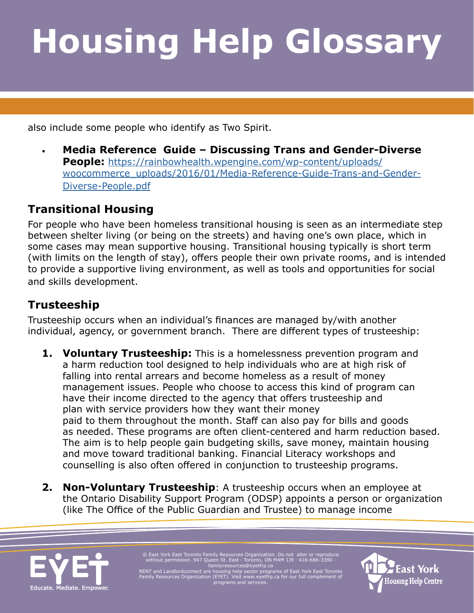<span id="page-37-0"></span>also include some people who identify as Two Spirit.

• **Media Reference Guide – Discussing Trans and Gender-Diverse People:** [https://rainbowhealth.wpengine.com/wp-content/uploads/](https://rainbowhealth.wpengine.com/wp-content/uploads/woocommerce_uploads/2016/01/Media-Reference-Guide-Trans-and-Gender-Diverse-People.pdf) [woocommerce\\_uploads/2016/01/Media-Reference-Guide-Trans-and-Gender-](https://rainbowhealth.wpengine.com/wp-content/uploads/woocommerce_uploads/2016/01/Media-Reference-Guide-Trans-and-Gender-Diverse-People.pdf)[Diverse-People.pdf](https://rainbowhealth.wpengine.com/wp-content/uploads/woocommerce_uploads/2016/01/Media-Reference-Guide-Trans-and-Gender-Diverse-People.pdf)

## **Transitional Housing**

For people who have been homeless transitional housing is seen as an intermediate step between shelter living (or being on the streets) and having one's own place, which in some cases may mean supportive housing. Transitional housing typically is short term (with limits on the length of stay), offers people their own private rooms, and is intended to provide a supportive living environment, as well as tools and opportunities for social and skills development.

## **Trusteeship**

Trusteeship occurs when an individual's finances are managed by/with another individual, agency, or government branch. There are different types of trusteeship:

- **1. Voluntary Trusteeship:** This is a homelessness prevention program and a harm reduction tool designed to help individuals who are at high risk of falling into rental arrears and become homeless as a result of money management issues. People who choose to access this kind of program can have their income directed to the agency that offers trusteeship and plan with service providers how they want their money paid to them throughout the month. Staff can also pay for bills and goods as needed. These programs are often client-centered and harm reduction based. The aim is to help people gain budgeting skills, save money, maintain housing and move toward traditional banking. Financial Literacy workshops and counselling is also often offered in conjunction to trusteeship programs.
- **2. Non-Voluntary Trusteeship**: A trusteeship occurs when an employee at the Ontario Disability Support Program (ODSP) appoints a person or organization (like The Office of the Public Guardian and Trustee) to manage income



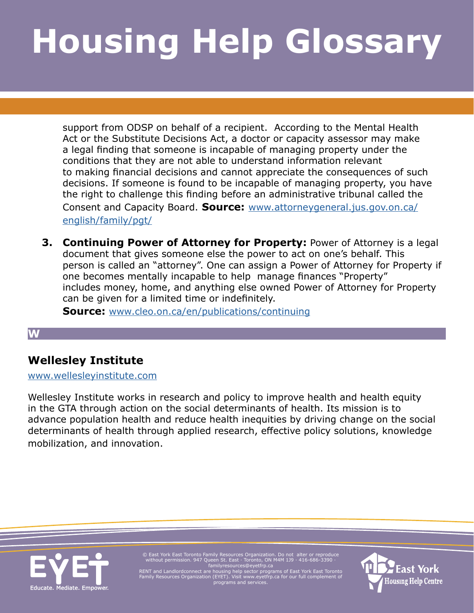<span id="page-38-0"></span>support from ODSP on behalf of a recipient. According to the Mental Health Act or the Substitute Decisions Act, a doctor or capacity assessor may make a legal finding that someone is incapable of managing property under the conditions that they are not able to understand information relevant to making financial decisions and cannot appreciate the consequences of such decisions. If someone is found to be incapable of managing property, you have the right to challenge this finding before an administrative tribunal called the Consent and Capacity Board. **Source:** [www.attorneygeneral.jus.gov.on.ca/](http://www.attorneygeneral.jus.gov.on.ca/english/family/pgt/) [english/family/pgt/](http://www.attorneygeneral.jus.gov.on.ca/english/family/pgt/)

**3. Continuing Power of Attorney for Property:** Power of Attorney is a legal document that gives someone else the power to act on one's behalf. This person is called an "attorney". One can assign a Power of Attorney for Property if one becomes mentally incapable to help manage finances "Property" includes money, home, and anything else owned Power of Attorney for Property can be given for a limited time or indefinitely.

**Source:** [www.cleo.on.ca/en/publications/continuing](http://www.cleo.on.ca/en/publications/continuing)

#### **W**

## **Wellesley Institute**

[www.wellesleyinstitute.com](http://www.wellesleyinstitute.com)

Wellesley Institute works in research and policy to improve health and health equity in the GTA through action on the social determinants of health. Its mission is to advance population health and reduce health inequities by driving change on the social determinants of health through applied research, effective policy solutions, knowledge mobilization, and innovation.



© East York East Toronto Family Resources Organization. Do not alter or reproduce without permission. 947 Queen St. East  $\cdot$  Toronto, ON M4M 1J9  $\cdot$  416-686-3390  $\cdot$ familyresources@eyetfrp.ca RENT and Landlordconnect are housing help sector programs of East York East Toronto Resources Organization (E)

programs and services.

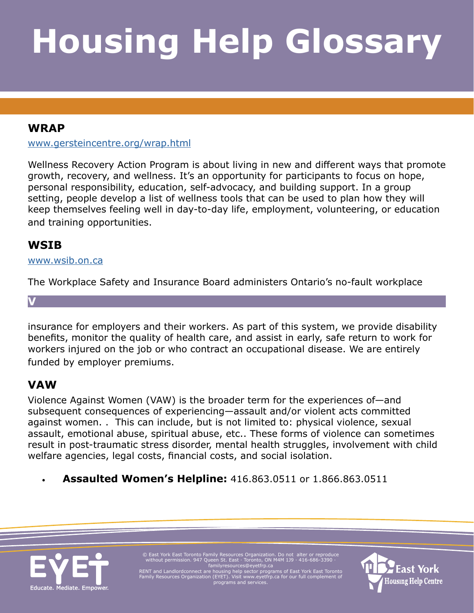### <span id="page-39-0"></span>**WRAP**

[www.gersteincentre.org/wrap.html](http://www.gersteincentre.org/wrap.html)

Wellness Recovery Action Program is about living in new and different ways that promote growth, recovery, and wellness. It's an opportunity for participants to focus on hope, personal responsibility, education, self-advocacy, and building support. In a group setting, people develop a list of wellness tools that can be used to plan how they will keep themselves feeling well in day-to-day life, employment, volunteering, or education and training opportunities.

### **WSIB**

#### [www.wsib.on.ca](http://www.wsib.on.ca)

The Workplace Safety and Insurance Board administers Ontario's no-fault workplace

#### **V**

insurance for employers and their workers. As part of this system, we provide disability benefits, monitor the quality of health care, and assist in early, safe return to work for workers injured on the job or who contract an occupational disease. We are entirely funded by employer premiums.

### **VAW**

Violence Against Women (VAW) is the broader term for the experiences of—and subsequent consequences of experiencing—assault and/or violent acts committed against women. . This can include, but is not limited to: physical violence, sexual assault, emotional abuse, spiritual abuse, etc.. These forms of violence can sometimes result in post-traumatic stress disorder, mental health struggles, involvement with child welfare agencies, legal costs, financial costs, and social isolation.

• **Assaulted Women's Helpline:** 416.863.0511 or 1.866.863.0511